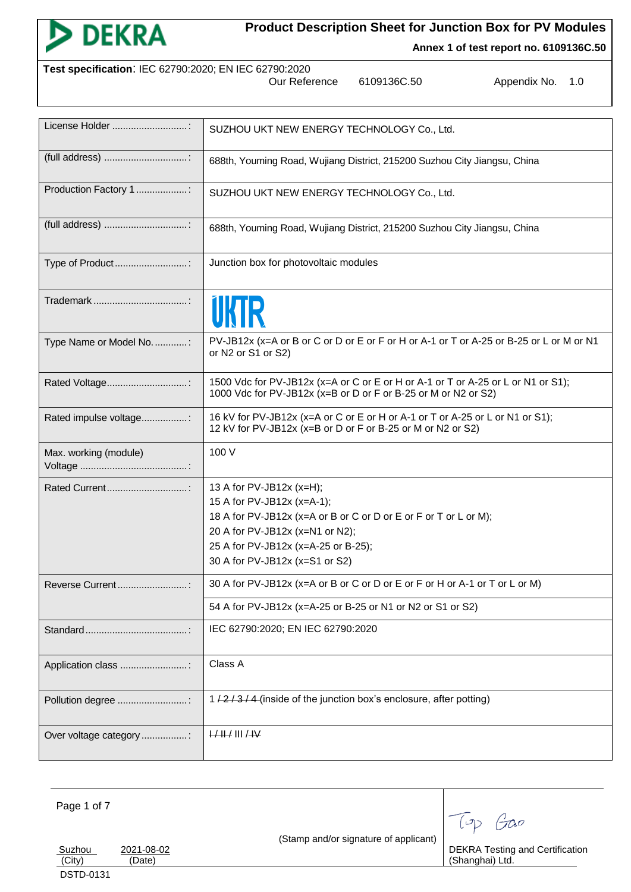

**Annex 1 of test report no. 6109136C.50**

| Test specification: IEC 62790:2020; EN IEC 62790:2020 |               |
|-------------------------------------------------------|---------------|
|                                                       | Our Reference |

Our Reference 6109136C.50 Appendix No. 1.0

| License Holder           | SUZHOU UKT NEW ENERGY TECHNOLOGY Co., Ltd.                                                                                                         |
|--------------------------|----------------------------------------------------------------------------------------------------------------------------------------------------|
|                          | 688th, Youming Road, Wujiang District, 215200 Suzhou City Jiangsu, China                                                                           |
| Production Factory 1 :   | SUZHOU UKT NEW ENERGY TECHNOLOGY Co., Ltd.                                                                                                         |
|                          | 688th, Youming Road, Wujiang District, 215200 Suzhou City Jiangsu, China                                                                           |
| Type of Product          | Junction box for photovoltaic modules                                                                                                              |
|                          |                                                                                                                                                    |
| Type Name or Model No. : | PV-JB12x (x=A or B or C or D or E or F or H or A-1 or T or A-25 or B-25 or L or M or N1<br>or N2 or S1 or S2)                                      |
| Rated Voltage            | 1500 Vdc for PV-JB12x (x=A or C or E or H or A-1 or T or A-25 or L or N1 or S1);<br>1000 Vdc for PV-JB12x (x=B or D or F or B-25 or M or N2 or S2) |
| Rated impulse voltage:   | 16 kV for PV-JB12x (x=A or C or E or H or A-1 or T or A-25 or L or N1 or S1);<br>12 kV for PV-JB12x (x=B or D or F or B-25 or M or N2 or S2)       |
| Max. working (module)    | 100 V                                                                                                                                              |
|                          | 13 A for PV-JB12x (x=H);                                                                                                                           |
|                          | 15 A for PV-JB12x (x=A-1);                                                                                                                         |
|                          | 18 A for PV-JB12x (x=A or B or C or D or E or F or T or L or M);                                                                                   |
|                          | 20 A for PV-JB12x (x=N1 or N2);                                                                                                                    |
|                          | 25 A for PV-JB12x (x=A-25 or B-25);                                                                                                                |
|                          | 30 A for PV-JB12x (x=S1 or S2)                                                                                                                     |
| Reverse Current          | 30 A for PV-JB12x (x=A or B or C or D or E or F or H or A-1 or T or L or M)                                                                        |
|                          | 54 A for PV-JB12x (x=A-25 or B-25 or N1 or N2 or S1 or S2)                                                                                         |
|                          | IEC 62790:2020; EN IEC 62790:2020                                                                                                                  |
| Application class :      | Class A                                                                                                                                            |
|                          |                                                                                                                                                    |
| Pollution degree :       | 1/2/3/4 (inside of the junction box's enclosure, after potting)                                                                                    |
| Over voltage category :  | $H + H$ III / $H$                                                                                                                                  |

Page 1 of 7

DEKRA Testing and Certification (Shanghai) Ltd.

Top Gao

Suzhou 2021-08-02<br>
(City) (Date) (Date) DSTD-0131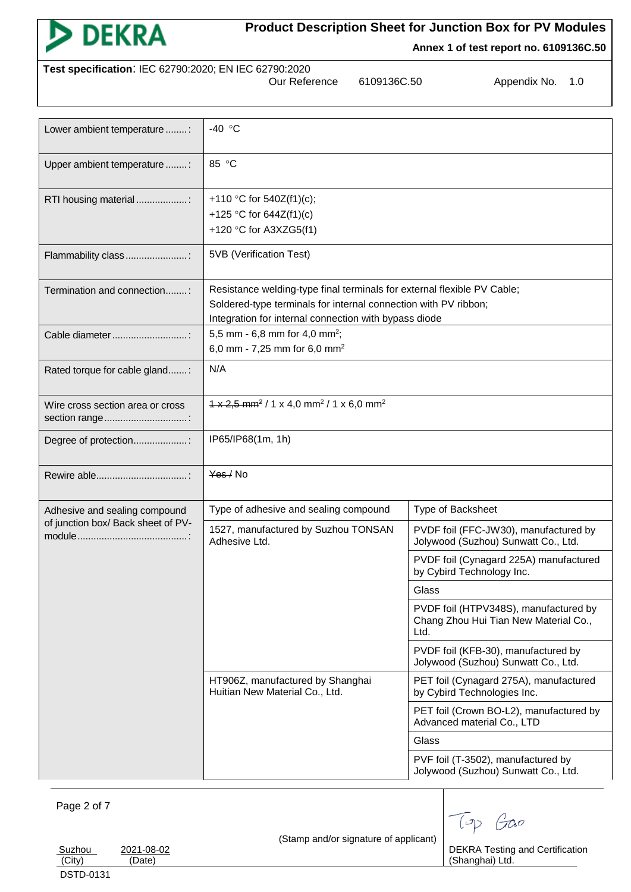

**Annex 1 of test report no. 6109136C.50**

| Test specification: IEC 62790:2020; EN IEC 62790:2020 |  |
|-------------------------------------------------------|--|
|                                                       |  |

Our Reference 6109136C.50 Appendix No. 1.0

| Lower ambient temperature :                       | -40 $\degree$ C                                                                                                                                                                                     |                                                                                        |  |  |
|---------------------------------------------------|-----------------------------------------------------------------------------------------------------------------------------------------------------------------------------------------------------|----------------------------------------------------------------------------------------|--|--|
| Upper ambient temperature :                       | 85 °C                                                                                                                                                                                               |                                                                                        |  |  |
| RTI housing material                              | +110 °C for 540Z(f1)(c);<br>+125 °C for $644Z(f1)(c)$<br>+120 °C for A3XZG5(f1)                                                                                                                     |                                                                                        |  |  |
| Flammability class:                               | 5VB (Verification Test)                                                                                                                                                                             |                                                                                        |  |  |
| Termination and connection:                       | Resistance welding-type final terminals for external flexible PV Cable;<br>Soldered-type terminals for internal connection with PV ribbon;<br>Integration for internal connection with bypass diode |                                                                                        |  |  |
| Cable diameter                                    | 5,5 mm - 6,8 mm for 4,0 mm <sup>2</sup> ;<br>6,0 mm - 7,25 mm for 6,0 mm <sup>2</sup>                                                                                                               |                                                                                        |  |  |
| Rated torque for cable gland:                     | N/A                                                                                                                                                                                                 |                                                                                        |  |  |
| Wire cross section area or cross<br>section range | $1 \times 2.5$ mm <sup>2</sup> / 1 x 4.0 mm <sup>2</sup> / 1 x 6.0 mm <sup>2</sup>                                                                                                                  |                                                                                        |  |  |
| Degree of protection:                             | IP65/IP68(1m, 1h)                                                                                                                                                                                   |                                                                                        |  |  |
|                                                   | Yes / No                                                                                                                                                                                            |                                                                                        |  |  |
| Adhesive and sealing compound                     | Type of adhesive and sealing compound                                                                                                                                                               | Type of Backsheet                                                                      |  |  |
| of junction box/ Back sheet of PV-                | 1527, manufactured by Suzhou TONSAN<br>Adhesive Ltd.                                                                                                                                                | PVDF foil (FFC-JW30), manufactured by<br>Jolywood (Suzhou) Sunwatt Co., Ltd.           |  |  |
|                                                   |                                                                                                                                                                                                     | PVDF foil (Cynagard 225A) manufactured<br>by Cybird Technology Inc.                    |  |  |
|                                                   |                                                                                                                                                                                                     | Glass                                                                                  |  |  |
|                                                   |                                                                                                                                                                                                     | PVDF foil (HTPV348S), manufactured by<br>Chang Zhou Hui Tian New Material Co.,<br>Ltd. |  |  |
|                                                   |                                                                                                                                                                                                     | PVDF foil (KFB-30), manufactured by<br>Jolywood (Suzhou) Sunwatt Co., Ltd.             |  |  |
|                                                   | HT906Z, manufactured by Shanghai<br>Huitian New Material Co., Ltd.                                                                                                                                  | PET foil (Cynagard 275A), manufactured<br>by Cybird Technologies Inc.                  |  |  |
|                                                   |                                                                                                                                                                                                     | PET foil (Crown BO-L2), manufactured by<br>Advanced material Co., LTD                  |  |  |
|                                                   |                                                                                                                                                                                                     | Glass                                                                                  |  |  |
|                                                   |                                                                                                                                                                                                     | PVF foil (T-3502), manufactured by<br>Jolywood (Suzhou) Sunwatt Co., Ltd.              |  |  |

Page 2 of 7

(Stamp and/or signature of applicant)

DEKRA Testing and Certification (Shanghai) Ltd.

Top Gao

Suzhou 2021-08-02<br>
(City) (Date)

(Date)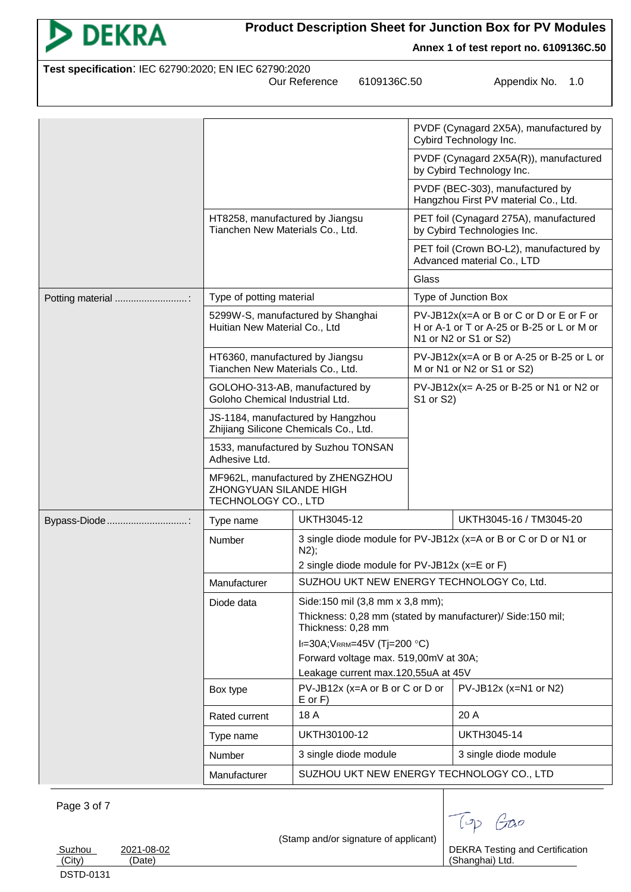| <b>DEKRA</b>                                          |                                                                                    |                                                       | <b>Product Description Sheet for Junction Box for PV Modules</b><br>Annex 1 of test report no. 6109136C.50      |  |
|-------------------------------------------------------|------------------------------------------------------------------------------------|-------------------------------------------------------|-----------------------------------------------------------------------------------------------------------------|--|
| Test specification: IEC 62790:2020; EN IEC 62790:2020 |                                                                                    | 6109136C.50<br>Our Reference                          | Appendix No.<br>1.0                                                                                             |  |
|                                                       |                                                                                    |                                                       |                                                                                                                 |  |
|                                                       |                                                                                    |                                                       | PVDF (Cynagard 2X5A), manufactured by<br>Cybird Technology Inc.                                                 |  |
|                                                       |                                                                                    |                                                       | PVDF (Cynagard 2X5A(R)), manufactured<br>by Cybird Technology Inc.                                              |  |
|                                                       |                                                                                    |                                                       | PVDF (BEC-303), manufactured by<br>Hangzhou First PV material Co., Ltd.                                         |  |
|                                                       | HT8258, manufactured by Jiangsu<br>Tianchen New Materials Co., Ltd.                |                                                       | PET foil (Cynagard 275A), manufactured<br>by Cybird Technologies Inc.                                           |  |
|                                                       |                                                                                    |                                                       | PET foil (Crown BO-L2), manufactured by<br>Advanced material Co., LTD                                           |  |
|                                                       |                                                                                    |                                                       | Glass                                                                                                           |  |
| Potting material                                      | Type of potting material                                                           |                                                       | Type of Junction Box                                                                                            |  |
|                                                       | 5299W-S, manufactured by Shanghai<br>Huitian New Material Co., Ltd                 |                                                       | PV-JB12x(x=A or B or C or D or E or F or<br>H or A-1 or T or A-25 or B-25 or L or M or<br>N1 or N2 or S1 or S2) |  |
|                                                       | HT6360, manufactured by Jiangsu<br>Tianchen New Materials Co., Ltd.                |                                                       | PV-JB12x(x=A or B or A-25 or B-25 or L or<br>M or N1 or N2 or S1 or S2)                                         |  |
|                                                       | GOLOHO-313-AB, manufactured by<br>Goloho Chemical Industrial Ltd.                  |                                                       | $PV$ -JB12x(x= A-25 or B-25 or N1 or N2 or<br>S1 or S2)                                                         |  |
|                                                       | JS-1184, manufactured by Hangzhou<br>Zhijiang Silicone Chemicals Co., Ltd.         |                                                       |                                                                                                                 |  |
|                                                       | 1533, manufactured by Suzhou TONSAN<br>Adhesive Ltd.                               |                                                       |                                                                                                                 |  |
|                                                       | MF962L, manufactured by ZHENGZHOU<br>ZHONGYUAN SILANDE HIGH<br>TECHNOLOGY CO., LTD |                                                       |                                                                                                                 |  |
| Bypass-Diode:                                         | Type name                                                                          | <b>UKTH3045-12</b>                                    | UKTH3045-16 / TM3045-20                                                                                         |  |
|                                                       | Number                                                                             | N2);<br>2 single diode module for PV-JB12x (x=E or F) | 3 single diode module for PV-JB12x (x=A or B or C or D or N1 or                                                 |  |
|                                                       | Manufacturer                                                                       |                                                       | SUZHOU UKT NEW ENERGY TECHNOLOGY Co, Ltd.                                                                       |  |
|                                                       | Diode data                                                                         | Side:150 mil (3,8 mm x 3,8 mm);                       |                                                                                                                 |  |
|                                                       |                                                                                    | Thickness: 0,28 mm                                    | Thickness: 0,28 mm (stated by manufacturer)/ Side:150 mil;                                                      |  |
|                                                       |                                                                                    | If=30A; VRRM=45V (Tj=200 °C)                          |                                                                                                                 |  |

<u>Suzhou 2021-08-02</u><br>(City) (Date)

(Date)

(Stamp and/or signature of applicant)

Type name UKTH30100-12 UKTH3045-14

Number 3 single diode module 3 single diode module Manufacturer | SUZHOU UKT NEW ENERGY TECHNOLOGY CO., LTD

Box type  $|PV-JB12x (x=A or B or C or D or D)$ E or F)

Rated current | 18 A 20 A

Forward voltage max. 519,00mV at 30A; Leakage current max.120,55uA at 45V

> DEKRA Testing and Certification (Shanghai) Ltd.

PV-JB12x (x=N1 or N2)

Top Gao

DSTD-0131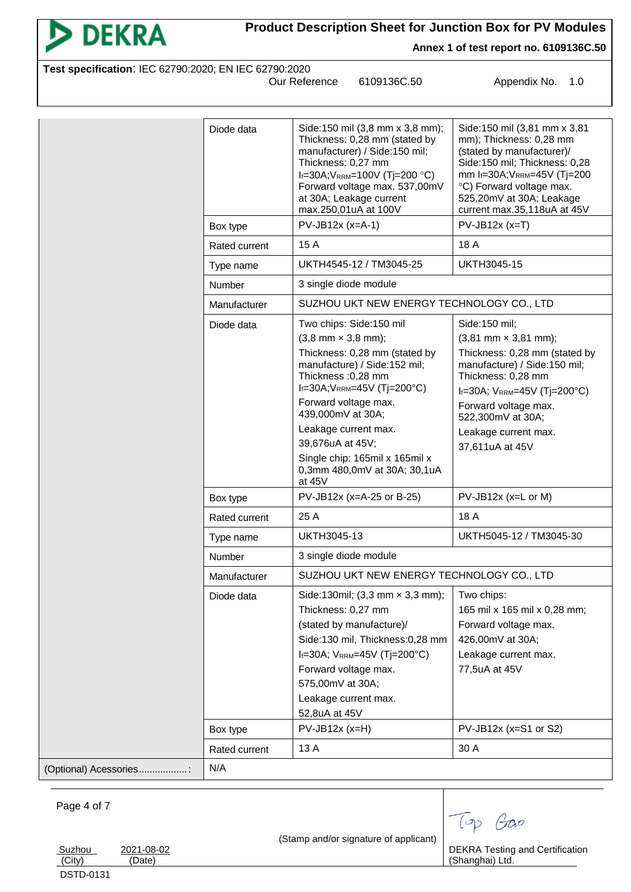

**Annex 1 of test report no. 6109136C.50**

| Test specification: IEC 62790:2020; EN IEC 62790:2020 |  |
|-------------------------------------------------------|--|
|                                                       |  |

Our Reference 6109136C.50 Appendix No. 1.0

|                        | Diode data                                           | Side:150 mil (3,8 mm x 3,8 mm);<br>Thickness: 0,28 mm (stated by<br>manufacturer) / Side:150 mil;<br>Thickness: 0,27 mm<br>$I_f = 30A$ ; V <sub>RRM</sub> =100V (Tj=200 °C)<br>Forward voltage max. 537,00mV<br>at 30A; Leakage current<br>max.250,01uA at 100V                                                                                                                                                                      | Side: 150 mil (3,81 mm x 3,81<br>mm); Thickness: 0,28 mm<br>(stated by manufacturer)/<br>Side:150 mil; Thickness: 0,28<br>mm If=30A; VRRM=45V (Tj=200<br>°C) Forward voltage max.<br>525,20mV at 30A; Leakage<br>current max.35,118uA at 45V                                                                                                       |
|------------------------|------------------------------------------------------|--------------------------------------------------------------------------------------------------------------------------------------------------------------------------------------------------------------------------------------------------------------------------------------------------------------------------------------------------------------------------------------------------------------------------------------|----------------------------------------------------------------------------------------------------------------------------------------------------------------------------------------------------------------------------------------------------------------------------------------------------------------------------------------------------|
|                        | Box type                                             | $PV$ -JB12x (x=A-1)                                                                                                                                                                                                                                                                                                                                                                                                                  | $PV-JB12x (x = T)$                                                                                                                                                                                                                                                                                                                                 |
|                        | Rated current                                        | 15 A                                                                                                                                                                                                                                                                                                                                                                                                                                 | 18 A                                                                                                                                                                                                                                                                                                                                               |
|                        | Type name                                            | UKTH4545-12 / TM3045-25                                                                                                                                                                                                                                                                                                                                                                                                              | <b>UKTH3045-15</b>                                                                                                                                                                                                                                                                                                                                 |
|                        | Number                                               | 3 single diode module                                                                                                                                                                                                                                                                                                                                                                                                                |                                                                                                                                                                                                                                                                                                                                                    |
|                        | <b>Manufacturer</b>                                  | SUZHOU UKT NEW ENERGY TECHNOLOGY CO., LTD                                                                                                                                                                                                                                                                                                                                                                                            |                                                                                                                                                                                                                                                                                                                                                    |
|                        | Diode data<br>Box type<br>Rated current<br>Type name | Two chips: Side:150 mil<br>$(3, 8 \text{ mm} \times 3, 8 \text{ mm})$ ;<br>Thickness: 0,28 mm (stated by<br>manufacture) / Side:152 mil;<br>Thickness : 0,28 mm<br>$I_f = 30A$ ; $V_{RRM} = 45V$ (Tj=200°C)<br>Forward voltage max.<br>439,000mV at 30A;<br>Leakage current max.<br>39,676uA at 45V;<br>Single chip: 165mil x 165mil x<br>0,3mm 480,0mV at 30A; 30,1uA<br>at 45V<br>PV-JB12x (x=A-25 or B-25)<br>25 A<br>UKTH3045-13 | Side:150 mil;<br>$(3,81 \text{ mm} \times 3,81 \text{ mm})$ ;<br>Thickness: 0,28 mm (stated by<br>manufacture) / Side:150 mil;<br>Thickness: 0,28 mm<br>$I_f = 30A$ ; $V_{RRM} = 45V$ (Tj=200°C)<br>Forward voltage max.<br>522,300mV at 30A;<br>Leakage current max.<br>37,611uA at 45V<br>PV-JB12x (x=L or M)<br>18 A<br>UKTH5045-12 / TM3045-30 |
|                        | Number                                               | 3 single diode module                                                                                                                                                                                                                                                                                                                                                                                                                |                                                                                                                                                                                                                                                                                                                                                    |
|                        | Manufacturer                                         | SUZHOU UKT NEW ENERGY TECHNOLOGY CO., LTD                                                                                                                                                                                                                                                                                                                                                                                            |                                                                                                                                                                                                                                                                                                                                                    |
|                        | Diode data                                           | Side:130mil; (3,3 mm x 3,3 mm);<br>Thickness: 0,27 mm<br>(stated by manufacture)/<br>Side:130 mil, Thickness:0,28 mm<br>$I_f = 30A$ ; $V_{RRM} = 45V$ (Tj=200°C)<br>Forward voltage max.<br>575,00mV at 30A;<br>Leakage current max.<br>52,8uA at 45V                                                                                                                                                                                | Two chips:<br>165 mil x 165 mil x 0,28 mm;<br>Forward voltage max.<br>426,00mV at 30A;<br>Leakage current max.<br>77,5uA at 45V                                                                                                                                                                                                                    |
|                        | Box type                                             | $PV$ -JB12x (x=H)                                                                                                                                                                                                                                                                                                                                                                                                                    | $PV-JB12x$ (x=S1 or S2)                                                                                                                                                                                                                                                                                                                            |
|                        | Rated current                                        | 13 A                                                                                                                                                                                                                                                                                                                                                                                                                                 | 30 A                                                                                                                                                                                                                                                                                                                                               |
| (Optional) Acessories: | N/A                                                  |                                                                                                                                                                                                                                                                                                                                                                                                                                      |                                                                                                                                                                                                                                                                                                                                                    |

#### Page 4 of 7

Suzhou 2021-08-02<br>
(City) (Date) (Date) DSTD-0131

(Stamp and/or signature of applicant)

DEKRA Testing and Certification (Shanghai) Ltd.

Top Gao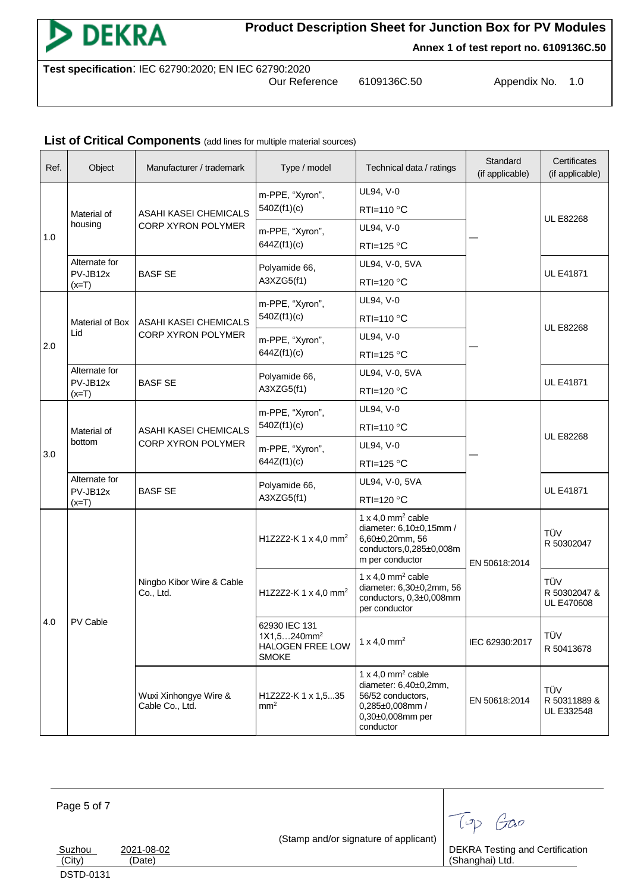

**Annex 1 of test report no. 6109136C.50**

**Test specification**: IEC 62790:2020; EN IEC 62790:2020

6109136C.50 Appendix No. 1.0

#### List of Critical Components (add lines for multiple material sources)

| Ref. | Object                    | Manufacturer / trademark                    | Type / model                                                        | Technical data / ratings                                                                                                        | Standard<br>(if applicable) | Certificates<br>(if applicable)          |
|------|---------------------------|---------------------------------------------|---------------------------------------------------------------------|---------------------------------------------------------------------------------------------------------------------------------|-----------------------------|------------------------------------------|
|      | Material of<br>housing    |                                             | m-PPE, "Xyron",                                                     | UL94, V-0                                                                                                                       |                             |                                          |
|      |                           | ASAHI KASEI CHEMICALS                       | 540Z(f1)(c)                                                         | RTI=110 °C                                                                                                                      |                             | <b>UL E82268</b>                         |
| 1.0  |                           | CORP XYRON POLYMER                          | m-PPE, "Xyron",                                                     | UL94, V-0                                                                                                                       |                             |                                          |
|      |                           |                                             | 644Z(f1)(c)                                                         | RTI=125 $\degree$ C                                                                                                             |                             |                                          |
|      | Alternate for<br>PV-JB12x |                                             | Polyamide 66,                                                       | UL94, V-0, 5VA                                                                                                                  |                             | <b>UL E41871</b>                         |
|      | $(x=T)$                   | <b>BASF SE</b>                              | A3XZG5(f1)                                                          | RTI=120 °C                                                                                                                      |                             |                                          |
|      |                           |                                             | m-PPE, "Xyron",                                                     | UL94, V-0                                                                                                                       |                             |                                          |
|      | Material of Box           | ASAHI KASEI CHEMICALS                       | 540Z(f1)(c)                                                         | RTI=110 $\degree$ C                                                                                                             |                             |                                          |
|      | Lid                       | CORP XYRON POLYMER                          | m-PPE, "Xyron",                                                     | UL94, V-0                                                                                                                       |                             | <b>UL E82268</b>                         |
| 2.0  |                           |                                             | 644Z(f1)(c)                                                         | RTI=125 $\degree$ C                                                                                                             |                             |                                          |
|      | Alternate for             |                                             | Polyamide 66,                                                       | UL94, V-0, 5VA                                                                                                                  |                             |                                          |
|      | PV-JB12x<br>$(x=T)$       | <b>BASF SE</b>                              | A3XZG5(f1)                                                          | RTI=120 $\degree$ C                                                                                                             |                             | <b>UL E41871</b>                         |
|      | Material of<br>bottom     | ASAHI KASEI CHEMICALS<br>CORP XYRON POLYMER | m-PPE, "Xyron",<br>540Z(f1)(c)                                      | UL94, V-0                                                                                                                       |                             |                                          |
|      |                           |                                             |                                                                     | RTI=110 °C                                                                                                                      |                             | <b>UL E82268</b>                         |
|      |                           |                                             | m-PPE, "Xyron",                                                     | UL94, V-0                                                                                                                       |                             |                                          |
| 3.0  |                           |                                             | 644Z(f1)(c)                                                         | RTI=125 °C                                                                                                                      |                             |                                          |
|      | Alternate for             | Polyamide 66,                               | UL94, V-0, 5VA                                                      |                                                                                                                                 |                             |                                          |
|      | PV-JB12x<br>$(x=T)$       | <b>BASF SE</b>                              | A3XZG5(f1)                                                          | RTI=120 $\degree$ C                                                                                                             |                             | <b>UL E41871</b>                         |
|      | PV Cable                  | Ningbo Kibor Wire & Cable<br>Co., Ltd.      | H1Z2Z2-K 1 x 4,0 mm <sup>2</sup>                                    | 1 x 4,0 mm <sup>2</sup> cable<br>diameter: 6,10±0,15mm /<br>6,60±0,20mm, 56<br>conductors, 0, 285±0, 008m<br>m per conductor    | EN 50618:2014               | TÜV<br>R 50302047                        |
| 4.0  |                           |                                             | H1Z2Z2-K 1 x 4,0 mm <sup>2</sup>                                    | 1 x 4,0 mm <sup>2</sup> cable<br>diameter: 6,30±0,2mm, 56<br>conductors, 0,3±0,008mm<br>per conductor                           |                             | TÜV<br>R 50302047 &<br><b>UL E470608</b> |
|      |                           |                                             | 62930 IEC 131<br>$1X1,5240mm^2$<br>HALOGEN FREE LOW<br><b>SMOKE</b> | 1 x 4,0 mm <sup>2</sup>                                                                                                         | IEC 62930:2017              | TÜV<br>R 50413678                        |
|      |                           | Wuxi Xinhongye Wire &<br>Cable Co., Ltd.    | H1Z2Z2-K 1 x 1,535<br>mm <sup>2</sup>                               | 1 x 4,0 mm <sup>2</sup> cable<br>diameter: 6,40±0,2mm,<br>56/52 conductors,<br>0,285±0,008mm /<br>0,30±0,008mm per<br>conductor | EN 50618:2014               | TÜV<br>R 50311889 &<br>UL E332548        |

Page 5 of 7

(Stamp and/or signature of applicant)

<u>Suzhou 2021-08-02</u><br>(City) (Date) (Date)

DSTD-0131

DEKRA Testing and Certification (Shanghai) Ltd.

Top Gao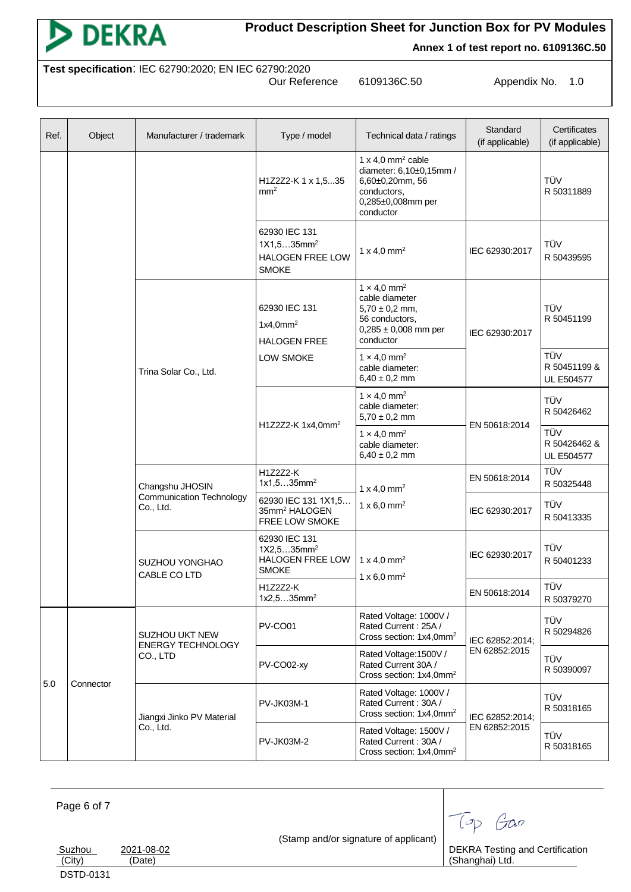

**Annex 1 of test report no. 6109136C.50**

**Test specification**: IEC 62790:2020; EN IEC 62790:2020

6109136C.50 Appendix No. 1.0

| Ref. | Object    | Manufacturer / trademark                                                                                 | Type / model                                                                       | Technical data / ratings                                                                                                          | Standard<br>(if applicable) | Certificates<br>(if applicable)          |
|------|-----------|----------------------------------------------------------------------------------------------------------|------------------------------------------------------------------------------------|-----------------------------------------------------------------------------------------------------------------------------------|-----------------------------|------------------------------------------|
|      |           |                                                                                                          | H1Z2Z2-K 1 x 1,535<br>mm <sup>2</sup>                                              | 1 x 4,0 mm <sup>2</sup> cable<br>diameter: 6,10±0,15mm /<br>6,60±0,20mm, 56<br>conductors,<br>0,285±0,008mm per<br>conductor      |                             | TÜV<br>R 50311889                        |
|      |           |                                                                                                          | 62930 IEC 131<br>1X1,535mm <sup>2</sup><br><b>HALOGEN FREE LOW</b><br><b>SMOKE</b> | 1 x 4,0 mm <sup>2</sup>                                                                                                           | IEC 62930:2017              | TÜV<br>R 50439595                        |
|      |           |                                                                                                          | 62930 IEC 131<br>1x4.0mm <sup>2</sup><br><b>HALOGEN FREE</b>                       | $1 \times 4.0$ mm <sup>2</sup><br>cable diameter<br>$5,70 \pm 0,2$ mm,<br>56 conductors,<br>$0,285 \pm 0,008$ mm per<br>conductor | IEC 62930:2017              | TÜV<br>R 50451199                        |
|      |           | Trina Solar Co., Ltd.                                                                                    | LOW SMOKE                                                                          | $1 \times 4.0$ mm <sup>2</sup><br>cable diameter:<br>$6,40 \pm 0,2$ mm                                                            |                             | TÜV<br>R 50451199 &<br><b>UL E504577</b> |
|      |           |                                                                                                          | H1Z2Z2-K 1x4,0mm <sup>2</sup>                                                      | $1 \times 4.0$ mm <sup>2</sup><br>cable diameter:<br>$5,70 \pm 0,2$ mm                                                            | EN 50618:2014               | TÜV<br>R 50426462                        |
|      |           |                                                                                                          |                                                                                    | $1 \times 4.0$ mm <sup>2</sup><br>cable diameter:<br>$6,40 \pm 0,2$ mm                                                            |                             | TÜV<br>R 50426462 &<br><b>UL E504577</b> |
|      |           | Changshu JHOSIN<br><b>Communication Technology</b><br>Co., Ltd.<br><b>SUZHOU YONGHAO</b><br>CABLE CO LTD | H1Z2Z2-K<br>$1x1,535mm^2$                                                          | 1 x 4,0 mm <sup>2</sup>                                                                                                           | EN 50618:2014               | TÜV<br>R 50325448                        |
|      |           |                                                                                                          | 62930 IEC 131 1X1,5<br>35mm <sup>2</sup> HALOGEN<br>FREE LOW SMOKE                 | 1 x 6,0 mm <sup>2</sup>                                                                                                           | IEC 62930:2017              | TÜV<br>R 50413335                        |
|      |           |                                                                                                          | 62930 IEC 131<br>1X2,535mm <sup>2</sup><br>HALOGEN FREE LOW<br><b>SMOKE</b>        | 1 x 4,0 mm <sup>2</sup><br>1 x 6,0 mm <sup>2</sup>                                                                                | IEC 62930:2017              | TÜV<br>R 50401233                        |
|      |           |                                                                                                          | H1Z2Z2-K<br>1x2,535mm <sup>2</sup>                                                 |                                                                                                                                   | EN 50618:2014               | TÜV<br>R 50379270                        |
|      | Connector | SUZHOU UKT NEW<br><b>ENERGY TECHNOLOGY</b><br>CO., LTD                                                   | PV-CO01                                                                            | Rated Voltage: 1000V /<br>Rated Current: 25A /<br>Cross section: 1x4,0mm <sup>2</sup>                                             | IEC 62852:2014;             | TÜV<br>R 50294826                        |
| 5.0  |           |                                                                                                          | PV-CO02-xy                                                                         | Rated Voltage: 1500V /<br>Rated Current 30A /<br>Cross section: 1x4,0mm <sup>2</sup>                                              | EN 62852:2015               | TÜV<br>R 50390097                        |
|      |           | Jiangxi Jinko PV Material                                                                                | <b>PV-JK03M-1</b>                                                                  | Rated Voltage: 1000V /<br>Rated Current: 30A /<br>Cross section: 1x4,0mm <sup>2</sup>                                             | IEC 62852:2014;             | TÜV<br>R 50318165                        |
|      |           | Co., Ltd.                                                                                                | <b>PV-JK03M-2</b>                                                                  | Rated Voltage: 1500V /<br>Rated Current: 30A /<br>Cross section: 1x4,0mm <sup>2</sup>                                             | EN 62852:2015               | TÜV<br>R 50318165                        |

Page 6 of 7 (Stamp and/or signature of applicant) Suzhou 2021-08-02<br>
(City) (Date) (Date) Top Gao DEKRA Testing and Certification (Shanghai) Ltd. DSTD-0131